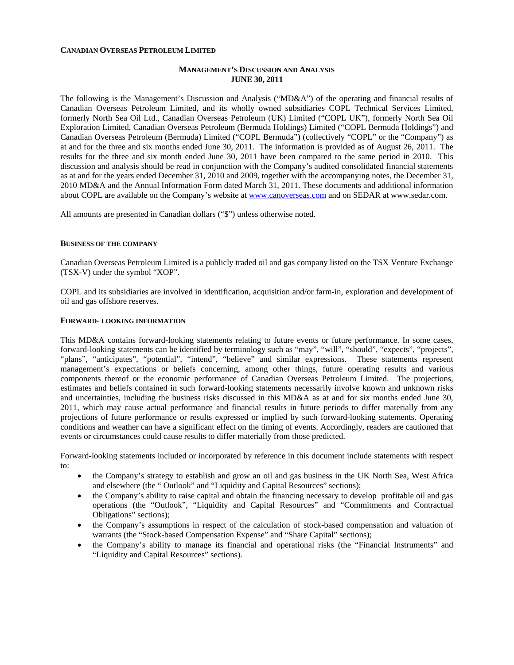## **CANADIAN OVERSEAS PETROLEUM LIMITED**

# **MANAGEMENT'S DISCUSSION AND ANALYSIS JUNE 30, 2011**

The following is the Management's Discussion and Analysis ("MD&A") of the operating and financial results of Canadian Overseas Petroleum Limited, and its wholly owned subsidiaries COPL Technical Services Limited, formerly North Sea Oil Ltd., Canadian Overseas Petroleum (UK) Limited ("COPL UK"), formerly North Sea Oil Exploration Limited, Canadian Overseas Petroleum (Bermuda Holdings) Limited ("COPL Bermuda Holdings") and Canadian Overseas Petroleum (Bermuda) Limited ("COPL Bermuda") (collectively "COPL" or the "Company") as at and for the three and six months ended June 30, 2011. The information is provided as of August 26, 2011. The results for the three and six month ended June 30, 2011 have been compared to the same period in 2010. This discussion and analysis should be read in conjunction with the Company's audited consolidated financial statements as at and for the years ended December 31, 2010 and 2009, together with the accompanying notes, the December 31, 2010 MD&A and the Annual Information Form dated March 31, 2011. These documents and additional information about COPL are available on the Company's website at [www.canoverseas.com](http://www.canoverseas.com/) and on SEDAR at [www.sedar.com.](http://www.sedar.com/)

All amounts are presented in Canadian dollars ("\$") unless otherwise noted.

#### **BUSINESS OF THE COMPANY**

Canadian Overseas Petroleum Limited is a publicly traded oil and gas company listed on the TSX Venture Exchange (TSX-V) under the symbol "XOP".

COPL and its subsidiaries are involved in identification, acquisition and/or farm-in, exploration and development of oil and gas offshore reserves.

#### **FORWARD- LOOKING INFORMATION**

This MD&A contains forward-looking statements relating to future events or future performance. In some cases, forward-looking statements can be identified by terminology such as "may", "will", "should", "expects", "projects", "plans", "anticipates", "potential", "intend", "believe" and similar expressions. These statements represent management's expectations or beliefs concerning, among other things, future operating results and various components thereof or the economic performance of Canadian Overseas Petroleum Limited. The projections, estimates and beliefs contained in such forward-looking statements necessarily involve known and unknown risks and uncertainties, including the business risks discussed in this MD&A as at and for six months ended June 30, 2011, which may cause actual performance and financial results in future periods to differ materially from any projections of future performance or results expressed or implied by such forward-looking statements. Operating conditions and weather can have a significant effect on the timing of events. Accordingly, readers are cautioned that events or circumstances could cause results to differ materially from those predicted.

Forward-looking statements included or incorporated by reference in this document include statements with respect to:

- the Company's strategy to establish and grow an oil and gas business in the UK North Sea, West Africa and elsewhere (the " Outlook" and "Liquidity and Capital Resources" sections);
- the Company's ability to raise capital and obtain the financing necessary to develop profitable oil and gas operations (the "Outlook", "Liquidity and Capital Resources" and "Commitments and Contractual Obligations" sections);
- the Company's assumptions in respect of the calculation of stock-based compensation and valuation of warrants (the "Stock-based Compensation Expense" and "Share Capital" sections);
- the Company's ability to manage its financial and operational risks (the "Financial Instruments" and "Liquidity and Capital Resources" sections).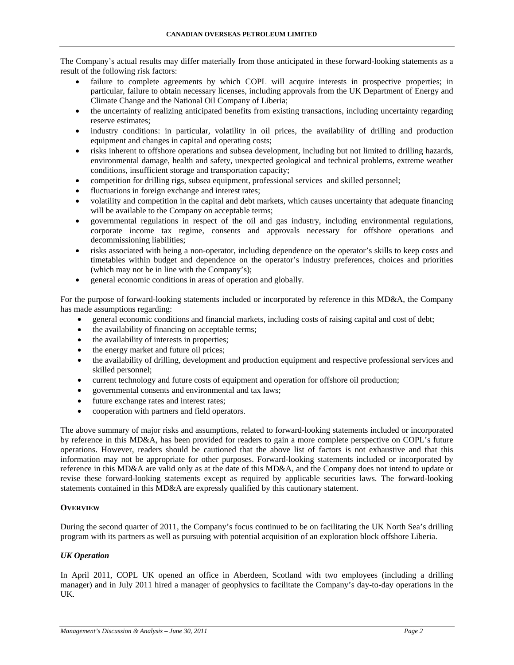The Company's actual results may differ materially from those anticipated in these forward-looking statements as a result of the following risk factors:

- failure to complete agreements by which COPL will acquire interests in prospective properties; in particular, failure to obtain necessary licenses, including approvals from the UK Department of Energy and Climate Change and the National Oil Company of Liberia;
- the uncertainty of realizing anticipated benefits from existing transactions, including uncertainty regarding reserve estimates;
- industry conditions: in particular, volatility in oil prices, the availability of drilling and production equipment and changes in capital and operating costs;
- risks inherent to offshore operations and subsea development, including but not limited to drilling hazards, environmental damage, health and safety, unexpected geological and technical problems, extreme weather conditions, insufficient storage and transportation capacity;
- competition for drilling rigs, subsea equipment, professional services and skilled personnel;
- fluctuations in foreign exchange and interest rates;
- volatility and competition in the capital and debt markets, which causes uncertainty that adequate financing will be available to the Company on acceptable terms:
- governmental regulations in respect of the oil and gas industry, including environmental regulations, corporate income tax regime, consents and approvals necessary for offshore operations and decommissioning liabilities;
- risks associated with being a non-operator, including dependence on the operator's skills to keep costs and timetables within budget and dependence on the operator's industry preferences, choices and priorities (which may not be in line with the Company's);
- general economic conditions in areas of operation and globally.

For the purpose of forward-looking statements included or incorporated by reference in this MD&A, the Company has made assumptions regarding:

- general economic conditions and financial markets, including costs of raising capital and cost of debt;
- the availability of financing on acceptable terms;
- the availability of interests in properties;
- the energy market and future oil prices;
- the availability of drilling, development and production equipment and respective professional services and skilled personnel;
- current technology and future costs of equipment and operation for offshore oil production;
- governmental consents and environmental and tax laws;
- future exchange rates and interest rates;
- cooperation with partners and field operators.

The above summary of major risks and assumptions, related to forward-looking statements included or incorporated by reference in this MD&A, has been provided for readers to gain a more complete perspective on COPL's future operations. However, readers should be cautioned that the above list of factors is not exhaustive and that this information may not be appropriate for other purposes. Forward-looking statements included or incorporated by reference in this MD&A are valid only as at the date of this MD&A, and the Company does not intend to update or revise these forward-looking statements except as required by applicable securities laws. The forward-looking statements contained in this MD&A are expressly qualified by this cautionary statement.

# **OVERVIEW**

During the second quarter of 2011, the Company's focus continued to be on facilitating the UK North Sea's drilling program with its partners as well as pursuing with potential acquisition of an exploration block offshore Liberia.

# *UK Operation*

In April 2011, COPL UK opened an office in Aberdeen, Scotland with two employees (including a drilling manager) and in July 2011 hired a manager of geophysics to facilitate the Company's day-to-day operations in the UK.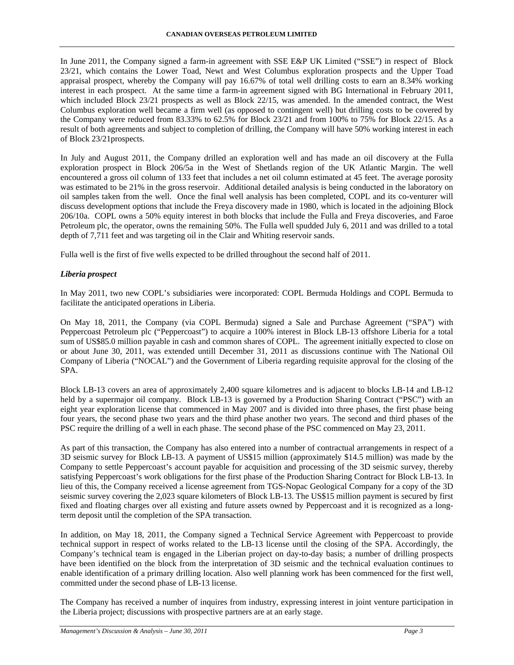In June 2011, the Company signed a farm-in agreement with SSE E&P UK Limited ("SSE") in respect of Block 23/21, which contains the Lower Toad, Newt and West Columbus exploration prospects and the Upper Toad appraisal prospect, whereby the Company will pay 16.67% of total well drilling costs to earn an 8.34% working interest in each prospect. At the same time a farm-in agreement signed with BG International in February 2011, which included Block 23/21 prospects as well as Block 22/15, was amended. In the amended contract, the West Columbus exploration well became a firm well (as opposed to contingent well) but drilling costs to be covered by the Company were reduced from 83.33% to 62.5% for Block 23/21 and from 100% to 75% for Block 22/15. As a result of both agreements and subject to completion of drilling, the Company will have 50% working interest in each of Block 23/21prospects.

In July and August 2011, the Company drilled an exploration well and has made an oil discovery at the Fulla exploration prospect in Block 206/5a in the West of Shetlands region of the UK Atlantic Margin. The well encountered a gross oil column of 133 feet that includes a net oil column estimated at 45 feet. The average porosity was estimated to be 21% in the gross reservoir. Additional detailed analysis is being conducted in the laboratory on oil samples taken from the well. Once the final well analysis has been completed, COPL and its co-venturer will discuss development options that include the Freya discovery made in 1980, which is located in the adjoining Block 206/10a. COPL owns a 50% equity interest in both blocks that include the Fulla and Freya discoveries, and Faroe Petroleum plc, the operator, owns the remaining 50%. The Fulla well spudded July 6, 2011 and was drilled to a total depth of 7,711 feet and was targeting oil in the Clair and Whiting reservoir sands.

Fulla well is the first of five wells expected to be drilled throughout the second half of 2011.

# *Liberia prospect*

In May 2011, two new COPL's subsidiaries were incorporated: COPL Bermuda Holdings and COPL Bermuda to facilitate the anticipated operations in Liberia.

On May 18, 2011, the Company (via COPL Bermuda) signed a Sale and Purchase Agreement ("SPA") with Peppercoast Petroleum plc ("Peppercoast") to acquire a 100% interest in Block LB-13 offshore Liberia for a total sum of US\$85.0 million payable in cash and common shares of COPL. The agreement initially expected to close on or about June 30, 2011, was extended untill December 31, 2011 as discussions continue with The National Oil Company of Liberia ("NOCAL") and the Government of Liberia regarding requisite approval for the closing of the SPA.

Block LB-13 covers an area of approximately 2,400 square kilometres and is adjacent to blocks LB-14 and LB-12 held by a supermajor oil company. Block LB-13 is governed by a Production Sharing Contract ("PSC") with an eight year exploration license that commenced in May 2007 and is divided into three phases, the first phase being four years, the second phase two years and the third phase another two years. The second and third phases of the PSC require the drilling of a well in each phase. The second phase of the PSC commenced on May 23, 2011.

As part of this transaction, the Company has also entered into a number of contractual arrangements in respect of a 3D seismic survey for Block LB-13. A payment of US\$15 million (approximately \$14.5 million) was made by the Company to settle Peppercoast's account payable for acquisition and processing of the 3D seismic survey, thereby satisfying Peppercoast's work obligations for the first phase of the Production Sharing Contract for Block LB-13. In lieu of this, the Company received a license agreement from TGS-Nopac Geological Company for a copy of the 3D seismic survey covering the 2,023 square kilometers of Block LB-13. The US\$15 million payment is secured by first fixed and floating charges over all existing and future assets owned by Peppercoast and it is recognized as a longterm deposit until the completion of the SPA transaction.

In addition, on May 18, 2011, the Company signed a Technical Service Agreement with Peppercoast to provide technical support in respect of works related to the LB-13 license until the closing of the SPA. Accordingly, the Company's technical team is engaged in the Liberian project on day-to-day basis; a number of drilling prospects have been identified on the block from the interpretation of 3D seismic and the technical evaluation continues to enable identification of a primary drilling location. Also well planning work has been commenced for the first well, committed under the second phase of LB-13 license.

The Company has received a number of inquires from industry, expressing interest in joint venture participation in the Liberia project; discussions with prospective partners are at an early stage.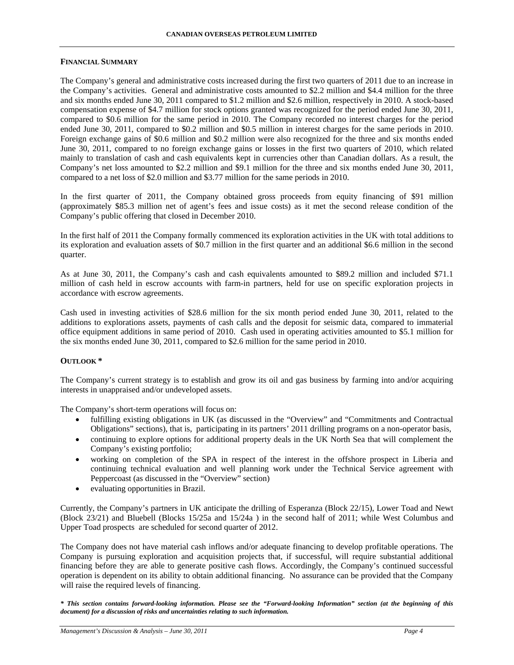### **FINANCIAL SUMMARY**

The Company's general and administrative costs increased during the first two quarters of 2011 due to an increase in the Company's activities. General and administrative costs amounted to \$2.2 million and \$4.4 million for the three and six months ended June 30, 2011 compared to \$1.2 million and \$2.6 million, respectively in 2010. A stock-based compensation expense of \$4.7 million for stock options granted was recognized for the period ended June 30, 2011, compared to \$0.6 million for the same period in 2010. The Company recorded no interest charges for the period ended June 30, 2011, compared to \$0.2 million and \$0.5 million in interest charges for the same periods in 2010. Foreign exchange gains of \$0.6 million and \$0.2 million were also recognized for the three and six months ended June 30, 2011, compared to no foreign exchange gains or losses in the first two quarters of 2010, which related mainly to translation of cash and cash equivalents kept in currencies other than Canadian dollars. As a result, the Company's net loss amounted to \$2.2 million and \$9.1 million for the three and six months ended June 30, 2011, compared to a net loss of \$2.0 million and \$3.77 million for the same periods in 2010.

In the first quarter of 2011, the Company obtained gross proceeds from equity financing of \$91 million (approximately \$85.3 million net of agent's fees and issue costs) as it met the second release condition of the Company's public offering that closed in December 2010.

In the first half of 2011 the Company formally commenced its exploration activities in the UK with total additions to its exploration and evaluation assets of \$0.7 million in the first quarter and an additional \$6.6 million in the second quarter.

As at June 30, 2011, the Company's cash and cash equivalents amounted to \$89.2 million and included \$71.1 million of cash held in escrow accounts with farm-in partners, held for use on specific exploration projects in accordance with escrow agreements.

Cash used in investing activities of \$28.6 million for the six month period ended June 30, 2011, related to the additions to explorations assets, payments of cash calls and the deposit for seismic data, compared to immaterial office equipment additions in same period of 2010. Cash used in operating activities amounted to \$5.1 million for the six months ended June 30, 2011, compared to \$2.6 million for the same period in 2010.

## **OUTLOOK \***

The Company's current strategy is to establish and grow its oil and gas business by farming into and/or acquiring interests in unappraised and/or undeveloped assets.

The Company's short-term operations will focus on:

- fulfilling existing obligations in UK (as discussed in the "Overview" and "Commitments and Contractual Obligations" sections), that is, participating in its partners' 2011 drilling programs on a non-operator basis,
- continuing to explore options for additional property deals in the UK North Sea that will complement the Company's existing portfolio;
- working on completion of the SPA in respect of the interest in the offshore prospect in Liberia and continuing technical evaluation and well planning work under the Technical Service agreement with Peppercoast (as discussed in the "Overview" section)
- evaluating opportunities in Brazil.

Currently, the Company's partners in UK anticipate the drilling of Esperanza (Block 22/15), Lower Toad and Newt (Block 23/21) and Bluebell (Blocks 15/25a and 15/24a ) in the second half of 2011; while West Columbus and Upper Toad prospects are scheduled for second quarter of 2012.

The Company does not have material cash inflows and/or adequate financing to develop profitable operations. The Company is pursuing exploration and acquisition projects that, if successful, will require substantial additional financing before they are able to generate positive cash flows. Accordingly, the Company's continued successful operation is dependent on its ability to obtain additional financing. No assurance can be provided that the Company will raise the required levels of financing.

*\* This section contains forward-looking information. Please see the "Forward-looking Information" section (at the beginning of this document) for a discussion of risks and uncertainties relating to such information.*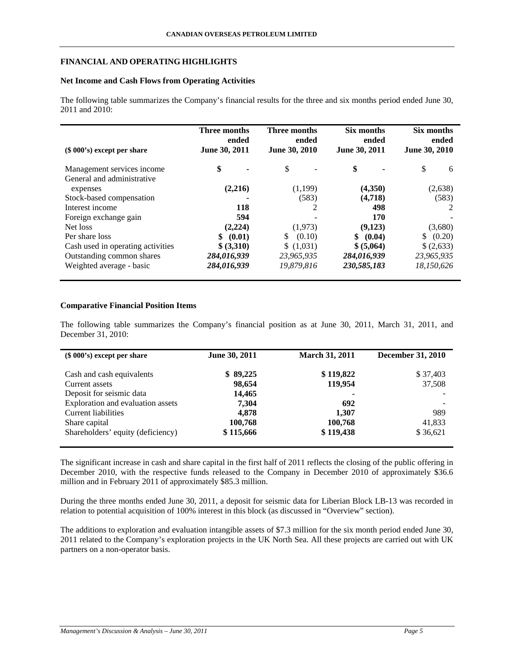# **FINANCIAL AND OPERATING HIGHLIGHTS**

# **Net Income and Cash Flows from Operating Activities**

The following table summarizes the Company's financial results for the three and six months period ended June 30, 2011 and 2010:

| $(\$ 000's)$ except per share     | Three months<br>ended<br>June 30, 2011 | Three months<br>ended<br>June 30, 2010 | Six months<br>ended<br>June 30, 2011 | Six months<br>ended<br>June 30, 2010 |
|-----------------------------------|----------------------------------------|----------------------------------------|--------------------------------------|--------------------------------------|
| Management services income        | \$                                     | \$                                     | \$                                   | \$<br>6                              |
| General and administrative        |                                        |                                        |                                      |                                      |
| expenses                          | (2,216)                                | (1,199)                                | (4,350)                              | (2,638)                              |
| Stock-based compensation          |                                        | (583)                                  | (4,718)                              | (583)                                |
| Interest income                   | 118                                    |                                        | 498                                  |                                      |
| Foreign exchange gain             | 594                                    |                                        | 170                                  |                                      |
| Net loss                          | (2,224)                                | (1,973)                                | (9,123)                              | (3,680)                              |
| Per share loss                    | (0.01)<br>\$                           | (0.10)<br>S                            | \$ (0.04)                            | (0.20)                               |
| Cash used in operating activities | \$ (3,310)                             | \$(1,031)                              | \$ (5,064)                           | \$(2,633)                            |
| Outstanding common shares         | 284,016,939                            | 23,965,935                             | 284,016,939                          | 23,965,935                           |
| Weighted average - basic          | 284,016,939                            | 19,879,816                             | 230,585,183                          | 18,150,626                           |

# **Comparative Financial Position Items**

The following table summarizes the Company's financial position as at June 30, 2011, March 31, 2011, and December 31, 2010:

| $(\$ 000's)$ except per share     | June 30, 2011 | <b>March 31, 2011</b> | <b>December 31, 2010</b> |
|-----------------------------------|---------------|-----------------------|--------------------------|
| Cash and cash equivalents         | \$89,225      | \$119,822             | \$37,403                 |
| Current assets                    | 98,654        | 119,954               | 37,508                   |
| Deposit for seismic data          | 14,465        |                       |                          |
| Exploration and evaluation assets | 7,304         | 692                   |                          |
| <b>Current liabilities</b>        | 4,878         | 1,307                 | 989                      |
| Share capital                     | 100,768       | 100,768               | 41,833                   |
| Shareholders' equity (deficiency) | \$115,666     | \$119,438             | \$36,621                 |

The significant increase in cash and share capital in the first half of 2011 reflects the closing of the public offering in December 2010, with the respective funds released to the Company in December 2010 of approximately \$36.6 million and in February 2011 of approximately \$85.3 million.

During the three months ended June 30, 2011, a deposit for seismic data for Liberian Block LB-13 was recorded in relation to potential acquisition of 100% interest in this block (as discussed in "Overview" section).

The additions to exploration and evaluation intangible assets of \$7.3 million for the six month period ended June 30, 2011 related to the Company's exploration projects in the UK North Sea. All these projects are carried out with UK partners on a non-operator basis.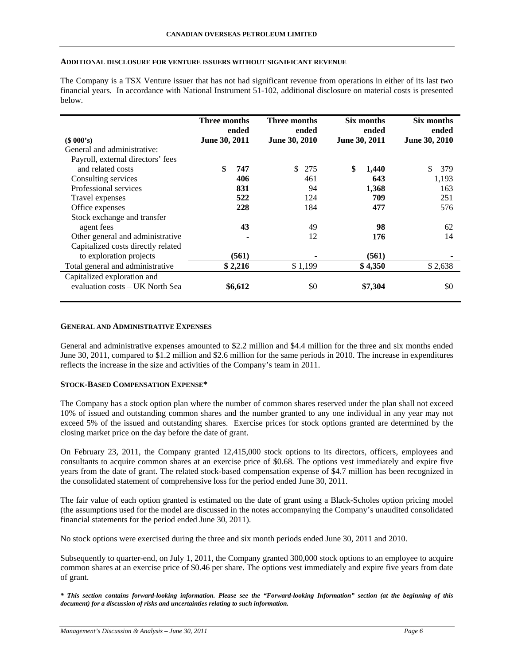#### **ADDITIONAL DISCLOSURE FOR VENTURE ISSUERS WITHOUT SIGNIFICANT REVENUE**

The Company is a TSX Venture issuer that has not had significant revenue from operations in either of its last two financial years. In accordance with National Instrument 51-102, additional disclosure on material costs is presented below.

|                                    | Three months<br>ended |         | Three months<br>ended | Six months<br>ended |         | Six months<br>ended |  |
|------------------------------------|-----------------------|---------|-----------------------|---------------------|---------|---------------------|--|
| (\$000's)                          | June 30, 2011         |         | June 30, 2010         | June 30, 2011       |         | June 30, 2010       |  |
| General and administrative:        |                       |         |                       |                     |         |                     |  |
| Payroll, external directors' fees  |                       |         |                       |                     |         |                     |  |
| and related costs                  | \$                    | 747     | \$<br>275             | \$                  | 1,440   | \$<br>379           |  |
| Consulting services                |                       | 406     | 461                   |                     | 643     | 1,193               |  |
| Professional services              |                       | 831     | 94                    |                     | 1,368   | 163                 |  |
| Travel expenses                    |                       | 522     | 124                   |                     | 709     | 251                 |  |
| Office expenses                    |                       | 228     | 184                   |                     | 477     | 576                 |  |
| Stock exchange and transfer        |                       |         |                       |                     |         |                     |  |
| agent fees                         |                       | 43      | 49                    |                     | 98      | 62                  |  |
| Other general and administrative   |                       |         | 12                    |                     | 176     | 14                  |  |
| Capitalized costs directly related |                       |         |                       |                     |         |                     |  |
| to exploration projects            |                       | (561)   |                       |                     | (561)   |                     |  |
| Total general and administrative   |                       | \$2,216 | \$1,199               |                     | \$4,350 | \$2,638             |  |
| Capitalized exploration and        |                       |         |                       |                     |         |                     |  |
| evaluation costs - UK North Sea    |                       | \$6,612 | \$0                   |                     | \$7,304 | \$0                 |  |

#### **GENERAL AND ADMINISTRATIVE EXPENSES**

General and administrative expenses amounted to \$2.2 million and \$4.4 million for the three and six months ended June 30, 2011, compared to \$1.2 million and \$2.6 million for the same periods in 2010. The increase in expenditures reflects the increase in the size and activities of the Company's team in 2011.

## **STOCK-BASED COMPENSATION EXPENSE\***

The Company has a stock option plan where the number of common shares reserved under the plan shall not exceed 10% of issued and outstanding common shares and the number granted to any one individual in any year may not exceed 5% of the issued and outstanding shares. Exercise prices for stock options granted are determined by the closing market price on the day before the date of grant.

On February 23, 2011, the Company granted 12,415,000 stock options to its directors, officers, employees and consultants to acquire common shares at an exercise price of \$0.68. The options vest immediately and expire five years from the date of grant. The related stock-based compensation expense of \$4.7 million has been recognized in the consolidated statement of comprehensive loss for the period ended June 30, 2011.

The fair value of each option granted is estimated on the date of grant using a Black-Scholes option pricing model (the assumptions used for the model are discussed in the notes accompanying the Company's unaudited consolidated financial statements for the period ended June 30, 2011).

No stock options were exercised during the three and six month periods ended June 30, 2011 and 2010.

Subsequently to quarter-end, on July 1, 2011, the Company granted 300,000 stock options to an employee to acquire common shares at an exercise price of \$0.46 per share. The options vest immediately and expire five years from date of grant.

*\* This section contains forward-looking information. Please see the "Forward-looking Information" section (at the beginning of this document) for a discussion of risks and uncertainties relating to such information.*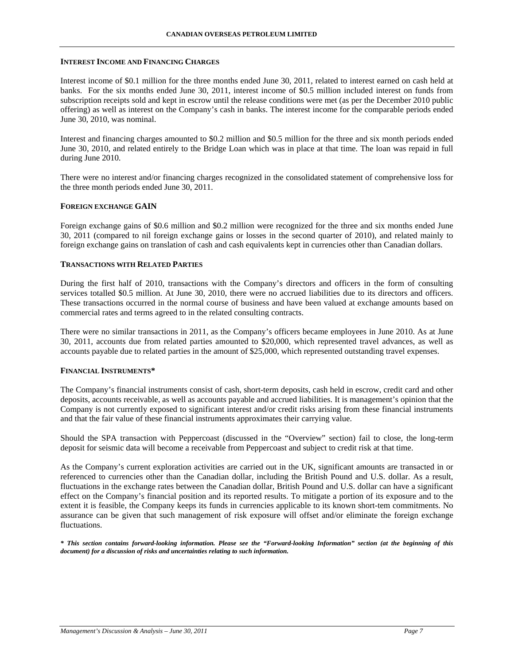### **INTEREST INCOME AND FINANCING CHARGES**

Interest income of \$0.1 million for the three months ended June 30, 2011, related to interest earned on cash held at banks. For the six months ended June 30, 2011, interest income of \$0.5 million included interest on funds from subscription receipts sold and kept in escrow until the release conditions were met (as per the December 2010 public offering) as well as interest on the Company's cash in banks. The interest income for the comparable periods ended June 30, 2010, was nominal.

Interest and financing charges amounted to \$0.2 million and \$0.5 million for the three and six month periods ended June 30, 2010, and related entirely to the Bridge Loan which was in place at that time. The loan was repaid in full during June 2010.

There were no interest and/or financing charges recognized in the consolidated statement of comprehensive loss for the three month periods ended June 30, 2011.

## **FOREIGN EXCHANGE GAIN**

Foreign exchange gains of \$0.6 million and \$0.2 million were recognized for the three and six months ended June 30, 2011 (compared to nil foreign exchange gains or losses in the second quarter of 2010), and related mainly to foreign exchange gains on translation of cash and cash equivalents kept in currencies other than Canadian dollars.

## **TRANSACTIONS WITH RELATED PARTIES**

During the first half of 2010, transactions with the Company's directors and officers in the form of consulting services totalled \$0.5 million. At June 30, 2010, there were no accrued liabilities due to its directors and officers. These transactions occurred in the normal course of business and have been valued at exchange amounts based on commercial rates and terms agreed to in the related consulting contracts.

There were no similar transactions in 2011, as the Company's officers became employees in June 2010. As at June 30, 2011, accounts due from related parties amounted to \$20,000, which represented travel advances, as well as accounts payable due to related parties in the amount of \$25,000, which represented outstanding travel expenses.

## **FINANCIAL INSTRUMENTS\***

The Company's financial instruments consist of cash, short-term deposits, cash held in escrow, credit card and other deposits, accounts receivable, as well as accounts payable and accrued liabilities. It is management's opinion that the Company is not currently exposed to significant interest and/or credit risks arising from these financial instruments and that the fair value of these financial instruments approximates their carrying value.

Should the SPA transaction with Peppercoast (discussed in the "Overview" section) fail to close, the long-term deposit for seismic data will become a receivable from Peppercoast and subject to credit risk at that time.

As the Company's current exploration activities are carried out in the UK, significant amounts are transacted in or referenced to currencies other than the Canadian dollar, including the British Pound and U.S. dollar. As a result, fluctuations in the exchange rates between the Canadian dollar, British Pound and U.S. dollar can have a significant effect on the Company's financial position and its reported results. To mitigate a portion of its exposure and to the extent it is feasible, the Company keeps its funds in currencies applicable to its known short-tem commitments. No assurance can be given that such management of risk exposure will offset and/or eliminate the foreign exchange fluctuations.

*\* This section contains forward-looking information. Please see the "Forward-looking Information" section (at the beginning of this document) for a discussion of risks and uncertainties relating to such information.*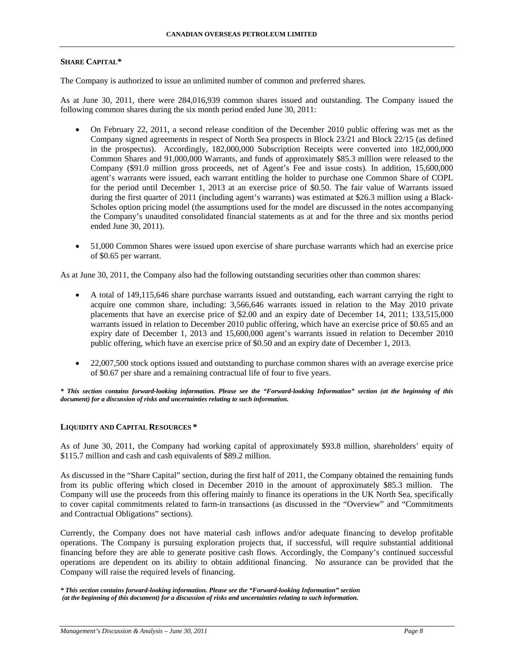# **SHARE CAPITAL\***

The Company is authorized to issue an unlimited number of common and preferred shares.

As at June 30, 2011, there were 284,016,939 common shares issued and outstanding. The Company issued the following common shares during the six month period ended June 30, 2011:

- On February 22, 2011, a second release condition of the December 2010 public offering was met as the Company signed agreements in respect of North Sea prospects in Block 23/21 and Block 22/15 (as defined in the prospectus). Accordingly, 182,000,000 Subscription Receipts were converted into 182,000,000 Common Shares and 91,000,000 Warrants, and funds of approximately \$85.3 million were released to the Company (\$91.0 million gross proceeds, net of Agent's Fee and issue costs). In addition, 15,600,000 agent's warrants were issued, each warrant entitling the holder to purchase one Common Share of COPL for the period until December 1, 2013 at an exercise price of \$0.50. The fair value of Warrants issued during the first quarter of 2011 (including agent's warrants) was estimated at \$26.3 million using a Black-Scholes option pricing model (the assumptions used for the model are discussed in the notes accompanying the Company's unaudited consolidated financial statements as at and for the three and six months period ended June 30, 2011).
- 51,000 Common Shares were issued upon exercise of share purchase warrants which had an exercise price of \$0.65 per warrant.

As at June 30, 2011, the Company also had the following outstanding securities other than common shares:

- A total of 149,115,646 share purchase warrants issued and outstanding, each warrant carrying the right to acquire one common share, including: 3,566,646 warrants issued in relation to the May 2010 private placements that have an exercise price of \$2.00 and an expiry date of December 14, 2011; 133,515,000 warrants issued in relation to December 2010 public offering, which have an exercise price of \$0.65 and an expiry date of December 1, 2013 and 15,600,000 agent's warrants issued in relation to December 2010 public offering, which have an exercise price of \$0.50 and an expiry date of December 1, 2013.
- 22,007,500 stock options issued and outstanding to purchase common shares with an average exercise price of \$0.67 per share and a remaining contractual life of four to five years.

*\* This section contains forward-looking information. Please see the "Forward-looking Information" section (at the beginning of this document) for a discussion of risks and uncertainties relating to such information.* 

# **LIQUIDITY AND CAPITAL RESOURCES \***

As of June 30, 2011, the Company had working capital of approximately \$93.8 million, shareholders' equity of \$115.7 million and cash and cash equivalents of \$89.2 million.

As discussed in the "Share Capital" section, during the first half of 2011, the Company obtained the remaining funds from its public offering which closed in December 2010 in the amount of approximately \$85.3 million. The Company will use the proceeds from this offering mainly to finance its operations in the UK North Sea, specifically to cover capital commitments related to farm-in transactions (as discussed in the "Overview" and "Commitments and Contractual Obligations" sections).

Currently, the Company does not have material cash inflows and/or adequate financing to develop profitable operations. The Company is pursuing exploration projects that, if successful, will require substantial additional financing before they are able to generate positive cash flows. Accordingly, the Company's continued successful operations are dependent on its ability to obtain additional financing. No assurance can be provided that the Company will raise the required levels of financing.

*<sup>\*</sup> This section contains forward-looking information. Please see the "Forward-looking Information" section (at the beginning of this document) for a discussion of risks and uncertainties relating to such information.*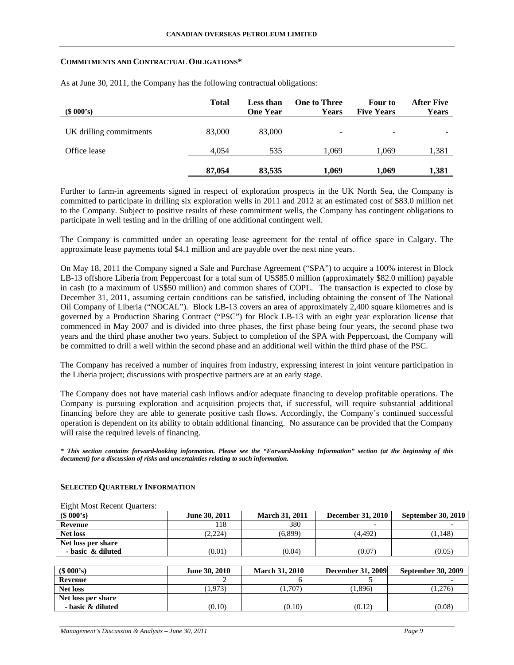#### **COMMITMENTS AND CONTRACTUAL OBLIGATIONS\***

| (\$000's)               | <b>Total</b> | <b>Less than</b><br><b>One Year</b> | <b>One to Three</b><br>Years | Four to<br><b>Five Years</b> | <b>After Five</b><br>Years |
|-------------------------|--------------|-------------------------------------|------------------------------|------------------------------|----------------------------|
| UK drilling commitments | 83,000       | 83,000                              | -                            | -                            |                            |
| Office lease            | 4,054        | 535                                 | 1.069                        | 1.069                        | 1,381                      |
|                         | 87,054       | 83.535                              | 1.069                        | 1.069                        | 1,381                      |

As at June 30, 2011, the Company has the following contractual obligations:

Further to farm-in agreements signed in respect of exploration prospects in the UK North Sea, the Company is committed to participate in drilling six exploration wells in 2011 and 2012 at an estimated cost of \$83.0 million net to the Company. Subject to positive results of these commitment wells, the Company has contingent obligations to participate in well testing and in the drilling of one additional contingent well.

The Company is committed under an operating lease agreement for the rental of office space in Calgary. The approximate lease payments total \$4.1 million and are payable over the next nine years.

On May 18, 2011 the Company signed a Sale and Purchase Agreement ("SPA") to acquire a 100% interest in Block LB-13 offshore Liberia from Peppercoast for a total sum of US\$85.0 million (approximately \$82.0 million) payable in cash (to a maximum of US\$50 million) and common shares of COPL. The transaction is expected to close by December 31, 2011, assuming certain conditions can be satisfied, including obtaining the consent of The National Oil Company of Liberia ("NOCAL"). Block LB-13 covers an area of approximately 2,400 square kilometres and is governed by a Production Sharing Contract ("PSC") for Block LB-13 with an eight year exploration license that commenced in May 2007 and is divided into three phases, the first phase being four years, the second phase two years and the third phase another two years. Subject to completion of the SPA with Peppercoast, the Company will be committed to drill a well within the second phase and an additional well within the third phase of the PSC.

The Company has received a number of inquires from industry, expressing interest in joint venture participation in the Liberia project; discussions with prospective partners are at an early stage.

The Company does not have material cash inflows and/or adequate financing to develop profitable operations. The Company is pursuing exploration and acquisition projects that, if successful, will require substantial additional financing before they are able to generate positive cash flows. Accordingly, the Company's continued successful operation is dependent on its ability to obtain additional financing. No assurance can be provided that the Company will raise the required levels of financing.

*\* This section contains forward-looking information. Please see the "Forward-looking Information" section (at the beginning of this document) for a discussion of risks and uncertainties relating to such information.* 

| (\$000's)          | June 30, 2011 | <b>March 31, 2011</b> | <b>December 31, 2010</b> | <b>September 30, 2010</b> |
|--------------------|---------------|-----------------------|--------------------------|---------------------------|
| Revenue            | 118           | 380                   | $\overline{\phantom{0}}$ |                           |
| <b>Net loss</b>    | (2,224)       | (6,899)               | (4.492)                  | 1,148)                    |
| Net loss per share |               |                       |                          |                           |
| - basic & diluted  | (0.01)        | (0.04)                | (0.07)                   | (0.05)                    |
|                    |               |                       |                          |                           |

#### **SELECTED QUARTERLY INFORMATION**

Eight Most Recent Quarters:

# **(\$ 000's) June 30, 2010 March 31, 2010 December 31, 2009 September 30, 2009 Revenue** 1 2 6 5 5 -**Net loss** (1,276) (1,973) (1,707) (1,896) (1,276) **Net loss per share - basic & diluted** (0.10) (0.10) (0.10) (0.12) (0.08)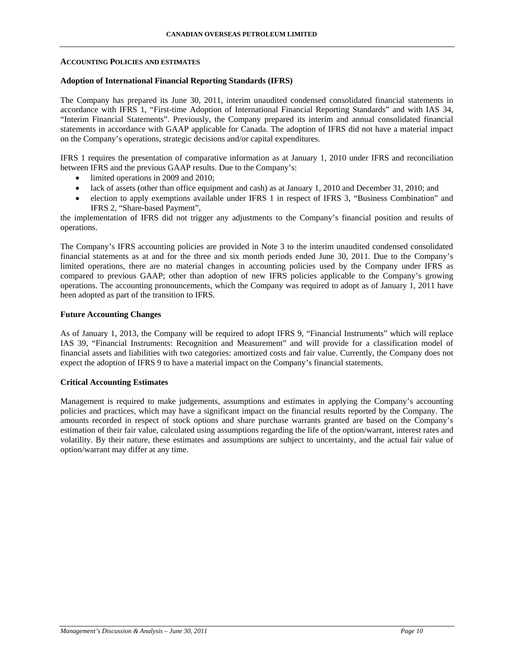### **ACCOUNTING POLICIES AND ESTIMATES**

## **Adoption of International Financial Reporting Standards (IFRS)**

The Company has prepared its June 30, 2011, interim unaudited condensed consolidated financial statements in accordance with IFRS 1, "First-time Adoption of International Financial Reporting Standards" and with IAS 34, "Interim Financial Statements". Previously, the Company prepared its interim and annual consolidated financial statements in accordance with GAAP applicable for Canada. The adoption of IFRS did not have a material impact on the Company's operations, strategic decisions and/or capital expenditures.

IFRS 1 requires the presentation of comparative information as at January 1, 2010 under IFRS and reconciliation between IFRS and the previous GAAP results. Due to the Company's:

- limited operations in 2009 and 2010;
- lack of assets (other than office equipment and cash) as at January 1, 2010 and December 31, 2010; and
- election to apply exemptions available under IFRS 1 in respect of IFRS 3, "Business Combination" and IFRS 2, "Share-based Payment",

the implementation of IFRS did not trigger any adjustments to the Company's financial position and results of operations.

The Company's IFRS accounting policies are provided in Note 3 to the interim unaudited condensed consolidated financial statements as at and for the three and six month periods ended June 30, 2011. Due to the Company's limited operations, there are no material changes in accounting policies used by the Company under IFRS as compared to previous GAAP; other than adoption of new IFRS policies applicable to the Company's growing operations. The accounting pronouncements, which the Company was required to adopt as of January 1, 2011 have been adopted as part of the transition to IFRS.

## **Future Accounting Changes**

As of January 1, 2013, the Company will be required to adopt IFRS 9, "Financial Instruments" which will replace IAS 39, "Financial Instruments: Recognition and Measurement" and will provide for a classification model of financial assets and liabilities with two categories: amortized costs and fair value. Currently, the Company does not expect the adoption of IFRS 9 to have a material impact on the Company's financial statements.

## **Critical Accounting Estimates**

Management is required to make judgements, assumptions and estimates in applying the Company's accounting policies and practices, which may have a significant impact on the financial results reported by the Company. The amounts recorded in respect of stock options and share purchase warrants granted are based on the Company's estimation of their fair value, calculated using assumptions regarding the life of the option/warrant, interest rates and volatility. By their nature, these estimates and assumptions are subject to uncertainty, and the actual fair value of option/warrant may differ at any time.